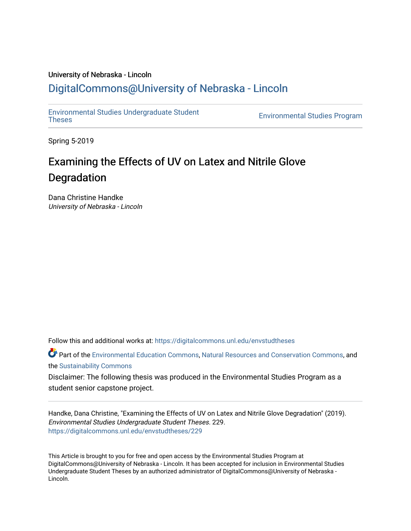# University of Nebraska - Lincoln [DigitalCommons@University of Nebraska - Lincoln](https://digitalcommons.unl.edu/)

[Environmental Studies Undergraduate Student](https://digitalcommons.unl.edu/envstudtheses) 

**Environmental Studies Program** 

Spring 5-2019

# Examining the Effects of UV on Latex and Nitrile Glove Degradation

Dana Christine Handke University of Nebraska - Lincoln

Follow this and additional works at: [https://digitalcommons.unl.edu/envstudtheses](https://digitalcommons.unl.edu/envstudtheses?utm_source=digitalcommons.unl.edu%2Fenvstudtheses%2F229&utm_medium=PDF&utm_campaign=PDFCoverPages) 

Part of the [Environmental Education Commons](http://network.bepress.com/hgg/discipline/1305?utm_source=digitalcommons.unl.edu%2Fenvstudtheses%2F229&utm_medium=PDF&utm_campaign=PDFCoverPages), [Natural Resources and Conservation Commons](http://network.bepress.com/hgg/discipline/168?utm_source=digitalcommons.unl.edu%2Fenvstudtheses%2F229&utm_medium=PDF&utm_campaign=PDFCoverPages), and the [Sustainability Commons](http://network.bepress.com/hgg/discipline/1031?utm_source=digitalcommons.unl.edu%2Fenvstudtheses%2F229&utm_medium=PDF&utm_campaign=PDFCoverPages) 

Disclaimer: The following thesis was produced in the Environmental Studies Program as a student senior capstone project.

Handke, Dana Christine, "Examining the Effects of UV on Latex and Nitrile Glove Degradation" (2019). Environmental Studies Undergraduate Student Theses. 229. [https://digitalcommons.unl.edu/envstudtheses/229](https://digitalcommons.unl.edu/envstudtheses/229?utm_source=digitalcommons.unl.edu%2Fenvstudtheses%2F229&utm_medium=PDF&utm_campaign=PDFCoverPages) 

This Article is brought to you for free and open access by the Environmental Studies Program at DigitalCommons@University of Nebraska - Lincoln. It has been accepted for inclusion in Environmental Studies Undergraduate Student Theses by an authorized administrator of DigitalCommons@University of Nebraska - Lincoln.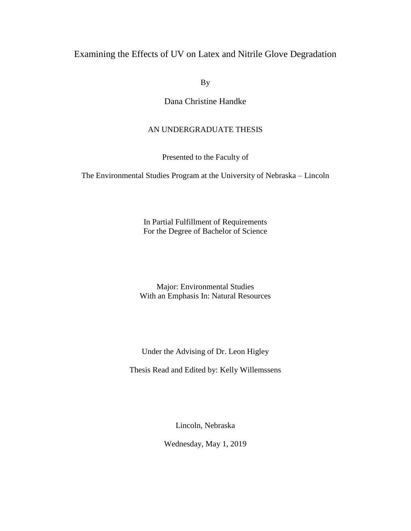# Examining the Effects of UV on Latex and Nitrile Glove Degradation

By

Dana Christine Handke

# AN UNDERGRADUATE THESIS

Presented to the Faculty of

The Environmental Studies Program at the University of Nebraska – Lincoln

In Partial Fulfillment of Requirements For the Degree of Bachelor of Science

Major: Environmental Studies With an Emphasis In: Natural Resources

Under the Advising of Dr. Leon Higley

Thesis Read and Edited by: Kelly Willemssens

Lincoln, Nebraska

Wednesday, May 1, 2019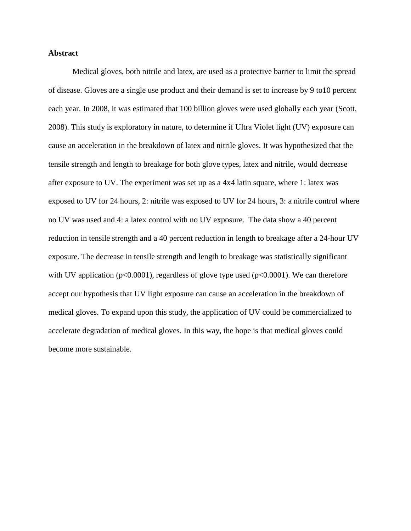## **Abstract**

Medical gloves, both nitrile and latex, are used as a protective barrier to limit the spread of disease. Gloves are a single use product and their demand is set to increase by 9 to10 percent each year. In 2008, it was estimated that 100 billion gloves were used globally each year (Scott, 2008). This study is exploratory in nature, to determine if Ultra Violet light (UV) exposure can cause an acceleration in the breakdown of latex and nitrile gloves. It was hypothesized that the tensile strength and length to breakage for both glove types, latex and nitrile, would decrease after exposure to UV. The experiment was set up as a 4x4 latin square, where 1: latex was exposed to UV for 24 hours, 2: nitrile was exposed to UV for 24 hours, 3: a nitrile control where no UV was used and 4: a latex control with no UV exposure. The data show a 40 percent reduction in tensile strength and a 40 percent reduction in length to breakage after a 24-hour UV exposure. The decrease in tensile strength and length to breakage was statistically significant with UV application ( $p<0.0001$ ), regardless of glove type used ( $p<0.0001$ ). We can therefore accept our hypothesis that UV light exposure can cause an acceleration in the breakdown of medical gloves. To expand upon this study, the application of UV could be commercialized to accelerate degradation of medical gloves. In this way, the hope is that medical gloves could become more sustainable.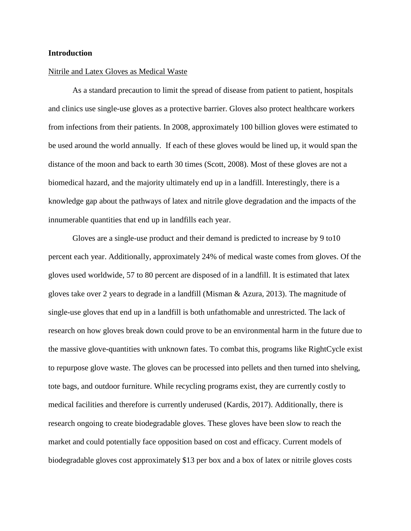### **Introduction**

#### Nitrile and Latex Gloves as Medical Waste

As a standard precaution to limit the spread of disease from patient to patient, hospitals and clinics use single-use gloves as a protective barrier. Gloves also protect healthcare workers from infections from their patients. In 2008, approximately 100 billion gloves were estimated to be used around the world annually. If each of these gloves would be lined up, it would span the distance of the moon and back to earth 30 times (Scott, 2008). Most of these gloves are not a biomedical hazard, and the majority ultimately end up in a landfill. Interestingly, there is a knowledge gap about the pathways of latex and nitrile glove degradation and the impacts of the innumerable quantities that end up in landfills each year.

Gloves are a single-use product and their demand is predicted to increase by 9 to10 percent each year. Additionally, approximately 24% of medical waste comes from gloves. Of the gloves used worldwide, 57 to 80 percent are disposed of in a landfill. It is estimated that latex gloves take over 2 years to degrade in a landfill (Misman & Azura, 2013). The magnitude of single-use gloves that end up in a landfill is both unfathomable and unrestricted. The lack of research on how gloves break down could prove to be an environmental harm in the future due to the massive glove-quantities with unknown fates. To combat this, programs like RightCycle exist to repurpose glove waste. The gloves can be processed into pellets and then turned into shelving, tote bags, and outdoor furniture. While recycling programs exist, they are currently costly to medical facilities and therefore is currently underused (Kardis, 2017). Additionally, there is research ongoing to create biodegradable gloves. These gloves have been slow to reach the market and could potentially face opposition based on cost and efficacy. Current models of biodegradable gloves cost approximately \$13 per box and a box of latex or nitrile gloves costs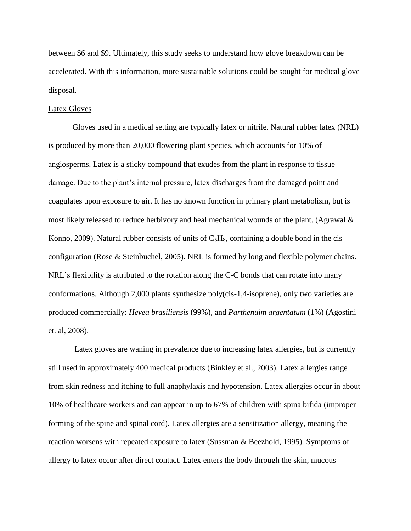between \$6 and \$9. Ultimately, this study seeks to understand how glove breakdown can be accelerated. With this information, more sustainable solutions could be sought for medical glove disposal.

### Latex Gloves

Gloves used in a medical setting are typically latex or nitrile. Natural rubber latex (NRL) is produced by more than 20,000 flowering plant species, which accounts for 10% of angiosperms. Latex is a sticky compound that exudes from the plant in response to tissue damage. Due to the plant's internal pressure, latex discharges from the damaged point and coagulates upon exposure to air. It has no known function in primary plant metabolism, but is most likely released to reduce herbivory and heal mechanical wounds of the plant. (Agrawal & Konno, 2009). Natural rubber consists of units of C5H8, containing a double bond in the cis configuration (Rose & Steinbuchel, 2005). NRL is formed by long and flexible polymer chains. NRL's flexibility is attributed to the rotation along the C-C bonds that can rotate into many conformations. Although 2,000 plants synthesize poly(cis-1,4-isoprene), only two varieties are produced commercially: *Hevea brasiliensis* (99%), and *Parthenuim argentatum* (1%) (Agostini et. al, 2008).

Latex gloves are waning in prevalence due to increasing latex allergies, but is currently still used in approximately 400 medical products (Binkley et al., 2003). Latex allergies range from skin redness and itching to full anaphylaxis and hypotension. Latex allergies occur in about 10% of healthcare workers and can appear in up to 67% of children with spina bifida (improper forming of the spine and spinal cord). Latex allergies are a sensitization allergy, meaning the reaction worsens with repeated exposure to latex (Sussman & Beezhold, 1995). Symptoms of allergy to latex occur after direct contact. Latex enters the body through the skin, mucous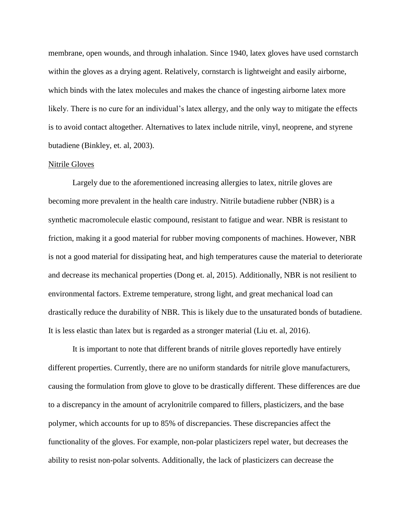membrane, open wounds, and through inhalation. Since 1940, latex gloves have used cornstarch within the gloves as a drying agent. Relatively, cornstarch is lightweight and easily airborne, which binds with the latex molecules and makes the chance of ingesting airborne latex more likely. There is no cure for an individual's latex allergy, and the only way to mitigate the effects is to avoid contact altogether. Alternatives to latex include nitrile, vinyl, neoprene, and styrene butadiene (Binkley, et. al, 2003).

#### Nitrile Gloves

Largely due to the aforementioned increasing allergies to latex, nitrile gloves are becoming more prevalent in the health care industry. Nitrile butadiene rubber (NBR) is a synthetic macromolecule elastic compound, resistant to fatigue and wear. NBR is resistant to friction, making it a good material for rubber moving components of machines. However, NBR is not a good material for dissipating heat, and high temperatures cause the material to deteriorate and decrease its mechanical properties (Dong et. al, 2015). Additionally, NBR is not resilient to environmental factors. Extreme temperature, strong light, and great mechanical load can drastically reduce the durability of NBR. This is likely due to the unsaturated bonds of butadiene. It is less elastic than latex but is regarded as a stronger material (Liu et. al, 2016).

It is important to note that different brands of nitrile gloves reportedly have entirely different properties. Currently, there are no uniform standards for nitrile glove manufacturers, causing the formulation from glove to glove to be drastically different. These differences are due to a discrepancy in the amount of acrylonitrile compared to fillers, plasticizers, and the base polymer, which accounts for up to 85% of discrepancies. These discrepancies affect the functionality of the gloves. For example, non-polar plasticizers repel water, but decreases the ability to resist non-polar solvents. Additionally, the lack of plasticizers can decrease the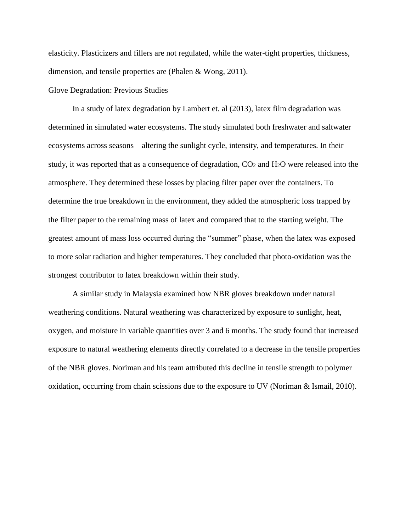elasticity. Plasticizers and fillers are not regulated, while the water-tight properties, thickness, dimension, and tensile properties are (Phalen & Wong, 2011).

#### Glove Degradation: Previous Studies

In a study of latex degradation by Lambert et. al (2013), latex film degradation was determined in simulated water ecosystems. The study simulated both freshwater and saltwater ecosystems across seasons – altering the sunlight cycle, intensity, and temperatures. In their study, it was reported that as a consequence of degradation,  $CO<sub>2</sub>$  and  $H<sub>2</sub>O$  were released into the atmosphere. They determined these losses by placing filter paper over the containers. To determine the true breakdown in the environment, they added the atmospheric loss trapped by the filter paper to the remaining mass of latex and compared that to the starting weight. The greatest amount of mass loss occurred during the "summer" phase, when the latex was exposed to more solar radiation and higher temperatures. They concluded that photo-oxidation was the strongest contributor to latex breakdown within their study.

A similar study in Malaysia examined how NBR gloves breakdown under natural weathering conditions. Natural weathering was characterized by exposure to sunlight, heat, oxygen, and moisture in variable quantities over 3 and 6 months. The study found that increased exposure to natural weathering elements directly correlated to a decrease in the tensile properties of the NBR gloves. Noriman and his team attributed this decline in tensile strength to polymer oxidation, occurring from chain scissions due to the exposure to UV (Noriman & Ismail, 2010).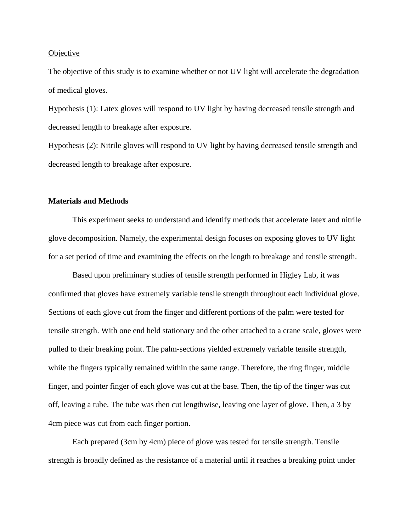#### **Objective**

The objective of this study is to examine whether or not UV light will accelerate the degradation of medical gloves.

Hypothesis (1): Latex gloves will respond to UV light by having decreased tensile strength and decreased length to breakage after exposure.

Hypothesis (2): Nitrile gloves will respond to UV light by having decreased tensile strength and decreased length to breakage after exposure.

## **Materials and Methods**

This experiment seeks to understand and identify methods that accelerate latex and nitrile glove decomposition. Namely, the experimental design focuses on exposing gloves to UV light for a set period of time and examining the effects on the length to breakage and tensile strength.

Based upon preliminary studies of tensile strength performed in Higley Lab, it was confirmed that gloves have extremely variable tensile strength throughout each individual glove. Sections of each glove cut from the finger and different portions of the palm were tested for tensile strength. With one end held stationary and the other attached to a crane scale, gloves were pulled to their breaking point. The palm-sections yielded extremely variable tensile strength, while the fingers typically remained within the same range. Therefore, the ring finger, middle finger, and pointer finger of each glove was cut at the base. Then, the tip of the finger was cut off, leaving a tube. The tube was then cut lengthwise, leaving one layer of glove. Then, a 3 by 4cm piece was cut from each finger portion.

Each prepared (3cm by 4cm) piece of glove was tested for tensile strength. Tensile strength is broadly defined as the resistance of a material until it reaches a breaking point under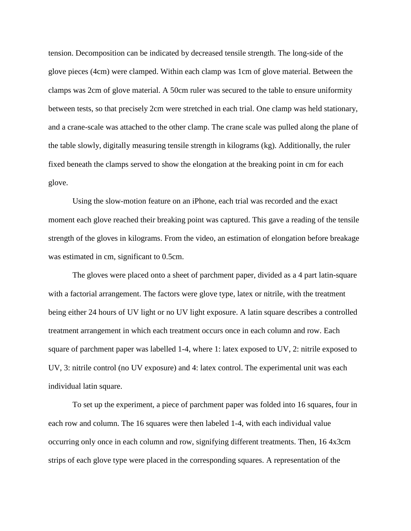tension. Decomposition can be indicated by decreased tensile strength. The long-side of the glove pieces (4cm) were clamped. Within each clamp was 1cm of glove material. Between the clamps was 2cm of glove material. A 50cm ruler was secured to the table to ensure uniformity between tests, so that precisely 2cm were stretched in each trial. One clamp was held stationary, and a crane-scale was attached to the other clamp. The crane scale was pulled along the plane of the table slowly, digitally measuring tensile strength in kilograms (kg). Additionally, the ruler fixed beneath the clamps served to show the elongation at the breaking point in cm for each glove.

Using the slow-motion feature on an iPhone, each trial was recorded and the exact moment each glove reached their breaking point was captured. This gave a reading of the tensile strength of the gloves in kilograms. From the video, an estimation of elongation before breakage was estimated in cm, significant to 0.5cm.

The gloves were placed onto a sheet of parchment paper, divided as a 4 part latin-square with a factorial arrangement. The factors were glove type, latex or nitrile, with the treatment being either 24 hours of UV light or no UV light exposure. A latin square describes a controlled treatment arrangement in which each treatment occurs once in each column and row. Each square of parchment paper was labelled 1-4, where 1: latex exposed to UV, 2: nitrile exposed to UV, 3: nitrile control (no UV exposure) and 4: latex control. The experimental unit was each individual latin square.

To set up the experiment, a piece of parchment paper was folded into 16 squares, four in each row and column. The 16 squares were then labeled 1-4, with each individual value occurring only once in each column and row, signifying different treatments. Then, 16 4x3cm strips of each glove type were placed in the corresponding squares. A representation of the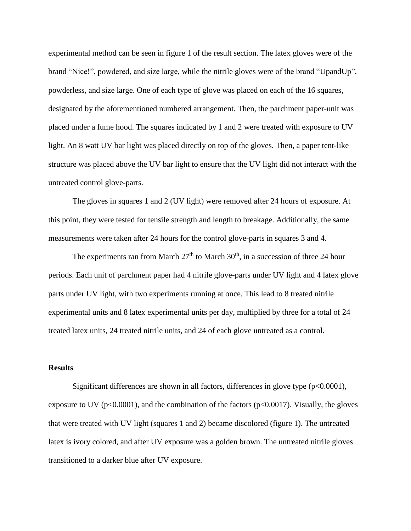experimental method can be seen in figure 1 of the result section. The latex gloves were of the brand "Nice!", powdered, and size large, while the nitrile gloves were of the brand "UpandUp", powderless, and size large. One of each type of glove was placed on each of the 16 squares, designated by the aforementioned numbered arrangement. Then, the parchment paper-unit was placed under a fume hood. The squares indicated by 1 and 2 were treated with exposure to UV light. An 8 watt UV bar light was placed directly on top of the gloves. Then, a paper tent-like structure was placed above the UV bar light to ensure that the UV light did not interact with the untreated control glove-parts.

The gloves in squares 1 and 2 (UV light) were removed after 24 hours of exposure. At this point, they were tested for tensile strength and length to breakage. Additionally, the same measurements were taken after 24 hours for the control glove-parts in squares 3 and 4.

The experiments ran from March  $27<sup>th</sup>$  to March  $30<sup>th</sup>$ , in a succession of three 24 hour periods. Each unit of parchment paper had 4 nitrile glove-parts under UV light and 4 latex glove parts under UV light, with two experiments running at once. This lead to 8 treated nitrile experimental units and 8 latex experimental units per day, multiplied by three for a total of 24 treated latex units, 24 treated nitrile units, and 24 of each glove untreated as a control.

## **Results**

Significant differences are shown in all factors, differences in glove type  $(p<0.0001)$ , exposure to UV ( $p<0.0001$ ), and the combination of the factors ( $p<0.0017$ ). Visually, the gloves that were treated with UV light (squares 1 and 2) became discolored (figure 1). The untreated latex is ivory colored, and after UV exposure was a golden brown. The untreated nitrile gloves transitioned to a darker blue after UV exposure.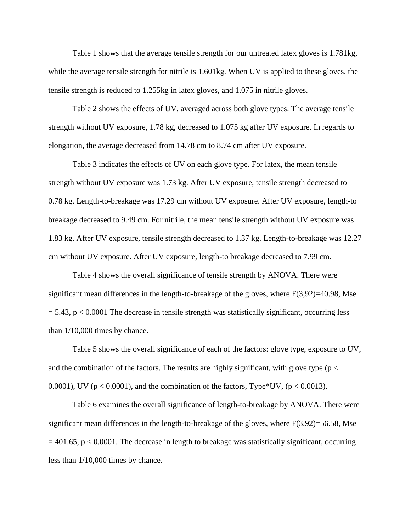Table 1 shows that the average tensile strength for our untreated latex gloves is 1.781kg, while the average tensile strength for nitrile is 1.601kg. When UV is applied to these gloves, the tensile strength is reduced to 1.255kg in latex gloves, and 1.075 in nitrile gloves.

Table 2 shows the effects of UV, averaged across both glove types. The average tensile strength without UV exposure, 1.78 kg, decreased to 1.075 kg after UV exposure. In regards to elongation, the average decreased from 14.78 cm to 8.74 cm after UV exposure.

Table 3 indicates the effects of UV on each glove type. For latex, the mean tensile strength without UV exposure was 1.73 kg. After UV exposure, tensile strength decreased to 0.78 kg. Length-to-breakage was 17.29 cm without UV exposure. After UV exposure, length-to breakage decreased to 9.49 cm. For nitrile, the mean tensile strength without UV exposure was 1.83 kg. After UV exposure, tensile strength decreased to 1.37 kg. Length-to-breakage was 12.27 cm without UV exposure. After UV exposure, length-to breakage decreased to 7.99 cm.

Table 4 shows the overall significance of tensile strength by ANOVA. There were significant mean differences in the length-to-breakage of the gloves, where  $F(3,92)=40.98$ , Mse  $= 5.43$ ,  $p < 0.0001$  The decrease in tensile strength was statistically significant, occurring less than  $1/10,000$  times by chance.

Table 5 shows the overall significance of each of the factors: glove type, exposure to UV, and the combination of the factors. The results are highly significant, with glove type ( $p <$ 0.0001), UV ( $p < 0.0001$ ), and the combination of the factors, Type\*UV, ( $p < 0.0013$ ).

Table 6 examines the overall significance of length-to-breakage by ANOVA. There were significant mean differences in the length-to-breakage of the gloves, where  $F(3,92)=56.58$ , Mse  $= 401.65$ , p < 0.0001. The decrease in length to breakage was statistically significant, occurring less than 1/10,000 times by chance.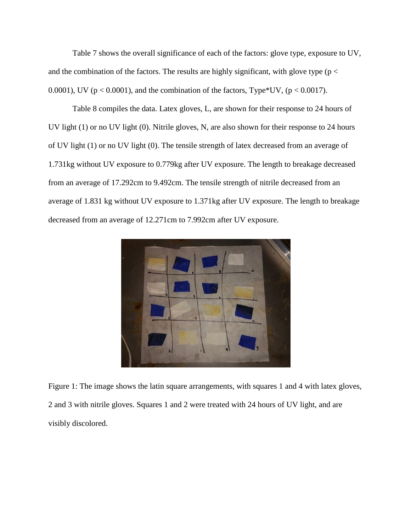Table 7 shows the overall significance of each of the factors: glove type, exposure to UV, and the combination of the factors. The results are highly significant, with glove type ( $p <$ 0.0001), UV ( $p < 0.0001$ ), and the combination of the factors, Type\*UV, ( $p < 0.0017$ ).

Table 8 compiles the data. Latex gloves, L, are shown for their response to 24 hours of UV light (1) or no UV light (0). Nitrile gloves, N, are also shown for their response to 24 hours of UV light (1) or no UV light (0). The tensile strength of latex decreased from an average of 1.731kg without UV exposure to 0.779kg after UV exposure. The length to breakage decreased from an average of 17.292cm to 9.492cm. The tensile strength of nitrile decreased from an average of 1.831 kg without UV exposure to 1.371kg after UV exposure. The length to breakage decreased from an average of 12.271cm to 7.992cm after UV exposure.



Figure 1: The image shows the latin square arrangements, with squares 1 and 4 with latex gloves, 2 and 3 with nitrile gloves. Squares 1 and 2 were treated with 24 hours of UV light, and are visibly discolored.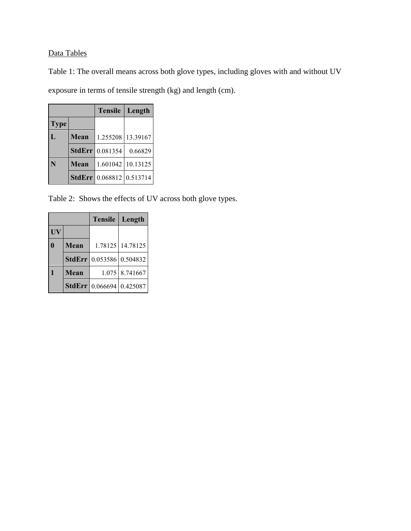# Data Tables

Table 1: The overall means across both glove types, including gloves with and without UV

exposure in terms of tensile strength (kg) and length (cm).

|              |             | <b>Tensile</b>           | Length            |
|--------------|-------------|--------------------------|-------------------|
| <b>Type</b>  |             |                          |                   |
| $\mathbf{L}$ | Mean        | 1.255208                 | 13.39167          |
|              |             | <b>StdErr</b> 0.081354   | 0.66829           |
| N            | <b>Mean</b> |                          | 1.601042 10.13125 |
|              |             | StdErr 0.068812 0.513714 |                   |

Table 2: Shows the effects of UV across both glove types.

|           |             | <b>Tensile</b>                  | Length           |
|-----------|-------------|---------------------------------|------------------|
| <b>UV</b> |             |                                 |                  |
|           | <b>Mean</b> |                                 | 1.78125 14.78125 |
|           |             | <b>StdErr</b> 0.053586 0.504832 |                  |
|           | <b>Mean</b> |                                 | 1.075 8.741667   |
|           |             | StdErr 0.066694 0.425087        |                  |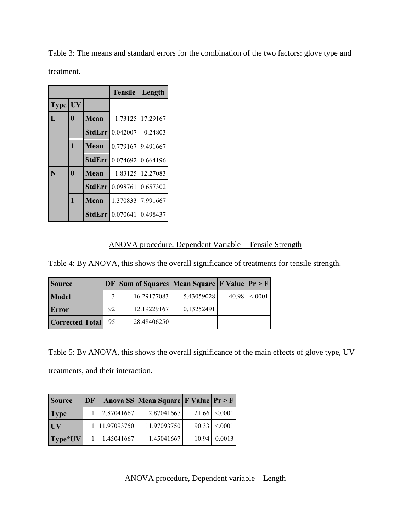Table 3: The means and standard errors for the combination of the two factors: glove type and treatment.

|             |           |               | <b>Tensile</b>           | Length            |
|-------------|-----------|---------------|--------------------------|-------------------|
| <b>Type</b> | <b>UV</b> |               |                          |                   |
| L           | 0         | Mean          | 1.73125                  | 17.29167          |
|             |           | <b>StdErr</b> | 0.042007                 | 0.24803           |
|             | 1         | Mean          |                          | 0.779167 9.491667 |
|             |           | <b>StdErr</b> | 0.074692                 | 0.664196          |
| N           | 0         | Mean          | 1.83125                  | 12.27083          |
|             |           | <b>StdErr</b> | 0.098761                 | 0.657302          |
|             | 1         | Mean          | 1.370833                 | 7.991667          |
|             |           |               | <b>StdErr</b>   0.070641 | 0.498437          |

# ANOVA procedure, Dependent Variable – Tensile Strength

Table 4: By ANOVA, this shows the overall significance of treatments for tensile strength.

| <b>Source</b>          |    | $DF Sum of Squares Mean Square F Value Pr > F$ |            |       |         |
|------------------------|----|------------------------------------------------|------------|-------|---------|
| Model                  |    | 16.29177083                                    | 5.43059028 | 40.98 | < 0.001 |
| Error                  | 92 | 12.19229167                                    | 0.13252491 |       |         |
| <b>Corrected Total</b> | 95 | 28.48406250                                    |            |       |         |

Table 5: By ANOVA, this shows the overall significance of the main effects of glove type, UV treatments, and their interaction.

| <b>Source</b> | DF |               | Anova SS   Mean Square   F Value   $Pr > F$ |       |         |
|---------------|----|---------------|---------------------------------------------|-------|---------|
| <b>Type</b>   |    | 2.87041667    | 2.87041667                                  | 21.66 | < 0.001 |
| <b>UV</b>     |    | 1 11.97093750 | 11.97093750                                 | 90.33 | < 0001  |
| Type*UV       |    | 1.45041667    | 1.45041667                                  | 10.94 | 0.0013  |

ANOVA procedure, Dependent variable – Length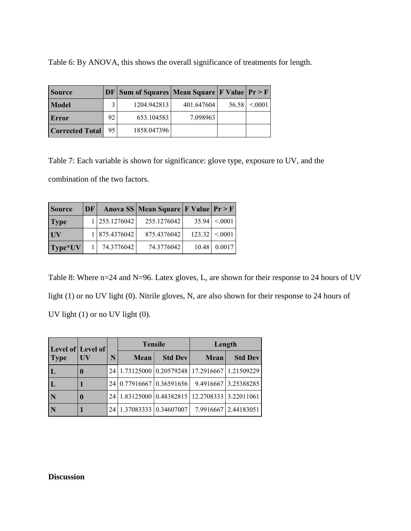Table 6: By ANOVA, this shows the overall significance of treatments for length.

| <b>Source</b>          |     | $DF Sum of Squares Mean Square F Value Pr > F$ |            |       |         |
|------------------------|-----|------------------------------------------------|------------|-------|---------|
| <b>Model</b>           |     | 1204.942813                                    | 401.647604 | 56.58 | < 0.001 |
| Error                  | 92  | 653.104583                                     | 7.098963   |       |         |
| <b>Corrected Total</b> | 95. | 1858.047396                                    |            |       |         |

Table 7: Each variable is shown for significance: glove type, exposure to UV, and the combination of the two factors.

| <b>Source</b> | DF |               | Anova SS   Mean Square   F Value   $Pr > F$ |       |                 |
|---------------|----|---------------|---------------------------------------------|-------|-----------------|
| <b>Type</b>   |    | 1 255.1276042 | 255.1276042                                 | 35.94 | < 0.001         |
| <b>UV</b>     |    | 1 875.4376042 | 875.4376042                                 |       | 123.32  < 0.001 |
| Type*UV       |    | 74.3776042    | 74.3776042                                  |       | 10.48 0.0017    |

Table 8: Where n=24 and N=96. Latex gloves, L, are shown for their response to 24 hours of UV light (1) or no UV light (0). Nitrile gloves, N, are also shown for their response to 24 hours of UV light (1) or no UV light (0).

| Level of Level of<br><b>Type</b> |             |   |                                                        | <b>Tensile</b> | Length |                      |  |
|----------------------------------|-------------|---|--------------------------------------------------------|----------------|--------|----------------------|--|
|                                  | <b>UV</b>   | N | <b>Mean</b>                                            | <b>Std Dev</b> | Mean   | <b>Std Dev</b>       |  |
|                                  | $\mathbf 0$ |   | 24   1.73125000   0.20579248   17.2916667   1.21509229 |                |        |                      |  |
| L                                |             |   | 24 0.77916667 0.36591656                               |                |        | 9.4916667 3.25388285 |  |
| N                                | 0           |   | 24   1.83125000   0.48382815   12.2708333   3.22011061 |                |        |                      |  |
| N                                |             |   | 24   1.37083333   0.34607007                           |                |        | 7.9916667 2.44183051 |  |

# **Discussion**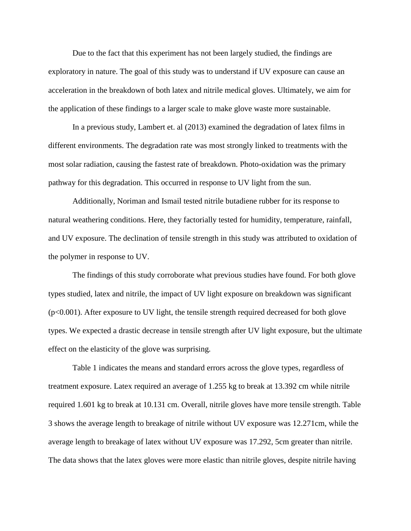Due to the fact that this experiment has not been largely studied, the findings are exploratory in nature. The goal of this study was to understand if UV exposure can cause an acceleration in the breakdown of both latex and nitrile medical gloves. Ultimately, we aim for the application of these findings to a larger scale to make glove waste more sustainable.

In a previous study, Lambert et. al (2013) examined the degradation of latex films in different environments. The degradation rate was most strongly linked to treatments with the most solar radiation, causing the fastest rate of breakdown. Photo-oxidation was the primary pathway for this degradation. This occurred in response to UV light from the sun.

Additionally, Noriman and Ismail tested nitrile butadiene rubber for its response to natural weathering conditions. Here, they factorially tested for humidity, temperature, rainfall, and UV exposure. The declination of tensile strength in this study was attributed to oxidation of the polymer in response to UV.

The findings of this study corroborate what previous studies have found. For both glove types studied, latex and nitrile, the impact of UV light exposure on breakdown was significant (p<0.001). After exposure to UV light, the tensile strength required decreased for both glove types. We expected a drastic decrease in tensile strength after UV light exposure, but the ultimate effect on the elasticity of the glove was surprising.

Table 1 indicates the means and standard errors across the glove types, regardless of treatment exposure. Latex required an average of 1.255 kg to break at 13.392 cm while nitrile required 1.601 kg to break at 10.131 cm. Overall, nitrile gloves have more tensile strength. Table 3 shows the average length to breakage of nitrile without UV exposure was 12.271cm, while the average length to breakage of latex without UV exposure was 17.292, 5cm greater than nitrile. The data shows that the latex gloves were more elastic than nitrile gloves, despite nitrile having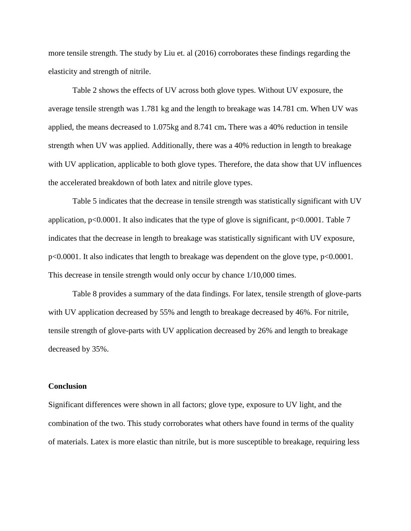more tensile strength. The study by Liu et. al (2016) corroborates these findings regarding the elasticity and strength of nitrile.

Table 2 shows the effects of UV across both glove types. Without UV exposure, the average tensile strength was 1.781 kg and the length to breakage was 14.781 cm. When UV was applied, the means decreased to 1.075kg and 8.741 cm**.** There was a 40% reduction in tensile strength when UV was applied. Additionally, there was a 40% reduction in length to breakage with UV application, applicable to both glove types. Therefore, the data show that UV influences the accelerated breakdown of both latex and nitrile glove types.

Table 5 indicates that the decrease in tensile strength was statistically significant with UV application,  $p<0.0001$ . It also indicates that the type of glove is significant,  $p<0.0001$ . Table 7 indicates that the decrease in length to breakage was statistically significant with UV exposure, p<0.0001. It also indicates that length to breakage was dependent on the glove type, p<0.0001. This decrease in tensile strength would only occur by chance 1/10,000 times.

Table 8 provides a summary of the data findings. For latex, tensile strength of glove-parts with UV application decreased by 55% and length to breakage decreased by 46%. For nitrile, tensile strength of glove-parts with UV application decreased by 26% and length to breakage decreased by 35%.

#### **Conclusion**

Significant differences were shown in all factors; glove type, exposure to UV light, and the combination of the two. This study corroborates what others have found in terms of the quality of materials. Latex is more elastic than nitrile, but is more susceptible to breakage, requiring less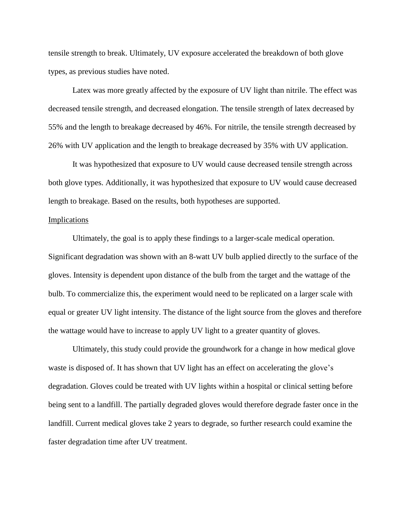tensile strength to break. Ultimately, UV exposure accelerated the breakdown of both glove types, as previous studies have noted.

Latex was more greatly affected by the exposure of UV light than nitrile. The effect was decreased tensile strength, and decreased elongation. The tensile strength of latex decreased by 55% and the length to breakage decreased by 46%. For nitrile, the tensile strength decreased by 26% with UV application and the length to breakage decreased by 35% with UV application.

It was hypothesized that exposure to UV would cause decreased tensile strength across both glove types. Additionally, it was hypothesized that exposure to UV would cause decreased length to breakage. Based on the results, both hypotheses are supported.

#### Implications

Ultimately, the goal is to apply these findings to a larger-scale medical operation. Significant degradation was shown with an 8-watt UV bulb applied directly to the surface of the gloves. Intensity is dependent upon distance of the bulb from the target and the wattage of the bulb. To commercialize this, the experiment would need to be replicated on a larger scale with equal or greater UV light intensity. The distance of the light source from the gloves and therefore the wattage would have to increase to apply UV light to a greater quantity of gloves.

Ultimately, this study could provide the groundwork for a change in how medical glove waste is disposed of. It has shown that UV light has an effect on accelerating the glove's degradation. Gloves could be treated with UV lights within a hospital or clinical setting before being sent to a landfill. The partially degraded gloves would therefore degrade faster once in the landfill. Current medical gloves take 2 years to degrade, so further research could examine the faster degradation time after UV treatment.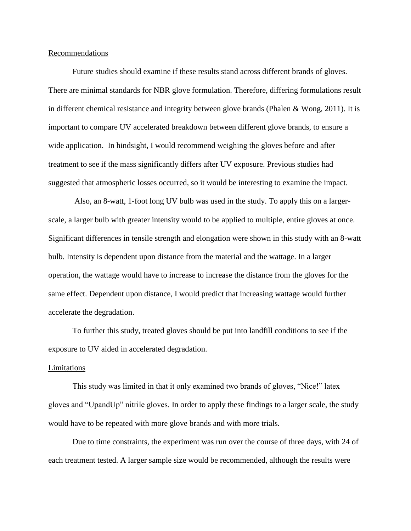#### Recommendations

Future studies should examine if these results stand across different brands of gloves. There are minimal standards for NBR glove formulation. Therefore, differing formulations result in different chemical resistance and integrity between glove brands (Phalen & Wong, 2011). It is important to compare UV accelerated breakdown between different glove brands, to ensure a wide application. In hindsight, I would recommend weighing the gloves before and after treatment to see if the mass significantly differs after UV exposure. Previous studies had suggested that atmospheric losses occurred, so it would be interesting to examine the impact.

Also, an 8-watt, 1-foot long UV bulb was used in the study. To apply this on a largerscale, a larger bulb with greater intensity would to be applied to multiple, entire gloves at once. Significant differences in tensile strength and elongation were shown in this study with an 8-watt bulb. Intensity is dependent upon distance from the material and the wattage. In a larger operation, the wattage would have to increase to increase the distance from the gloves for the same effect. Dependent upon distance, I would predict that increasing wattage would further accelerate the degradation.

To further this study, treated gloves should be put into landfill conditions to see if the exposure to UV aided in accelerated degradation.

#### Limitations

This study was limited in that it only examined two brands of gloves, "Nice!" latex gloves and "UpandUp" nitrile gloves. In order to apply these findings to a larger scale, the study would have to be repeated with more glove brands and with more trials.

Due to time constraints, the experiment was run over the course of three days, with 24 of each treatment tested. A larger sample size would be recommended, although the results were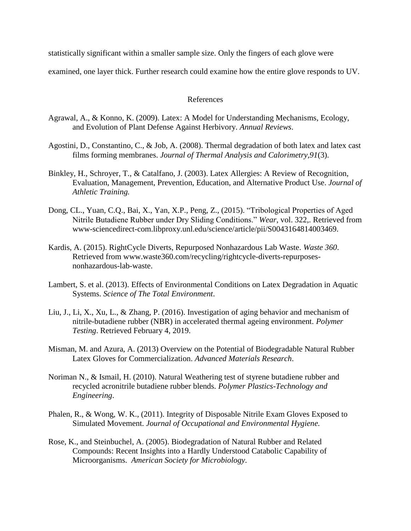statistically significant within a smaller sample size. Only the fingers of each glove were

examined, one layer thick. Further research could examine how the entire glove responds to UV.

## References

- Agrawal, A., & Konno, K. (2009). Latex: A Model for Understanding Mechanisms, Ecology, and Evolution of Plant Defense Against Herbivory. *Annual Reviews*.
- Agostini, D., Constantino, C., & Job, A. (2008). Thermal degradation of both latex and latex cast films forming membranes. *Journal of Thermal Analysis and Calorimetry,91*(3).
- Binkley, H., Schroyer, T., & Catalfano, J. (2003). Latex Allergies: A Review of Recognition, Evaluation, Management, Prevention, Education, and Alternative Product Use. *Journal of Athletic Training.*
- Dong, CL., Yuan, C.Q., Bai, X., Yan, X.P., Peng, Z., (2015). "Tribological Properties of Aged Nitrile Butadiene Rubber under Dry Sliding Conditions." *Wear*, vol. 322,. Retrieved from www-sciencedirect-com.libproxy.unl.edu/science/article/pii/S0043164814003469.
- Kardis, A. (2015). RightCycle Diverts, Repurposed Nonhazardous Lab Waste. *Waste 360*. Retrieved from www.waste360.com/recycling/rightcycle-diverts-repurposesnonhazardous-lab-waste.
- Lambert, S. et al. (2013). Effects of Environmental Conditions on Latex Degradation in Aquatic Systems. *Science of The Total Environment*.
- Liu, J., Li, X., Xu, L., & Zhang, P. (2016). Investigation of aging behavior and mechanism of nitrile-butadiene rubber (NBR) in accelerated thermal ageing environment. *Polymer Testing*. Retrieved February 4, 2019.
- Misman, M. and Azura, A. (2013) Overview on the Potential of Biodegradable Natural Rubber Latex Gloves for Commercialization. *Advanced Materials Research*.
- Noriman N., & Ismail, H. (2010). Natural Weathering test of styrene butadiene rubber and recycled acronitrile butadiene rubber blends. *Polymer Plastics-Technology and Engineering*.
- Phalen, R., & Wong, W. K., (2011). Integrity of Disposable Nitrile Exam Gloves Exposed to Simulated Movement. *Journal of Occupational and Environmental Hygiene.*
- Rose, K., and Steinbuchel, A. (2005). Biodegradation of Natural Rubber and Related Compounds: Recent Insights into a Hardly Understood Catabolic Capability of Microorganisms. *American Society for Microbiology*.